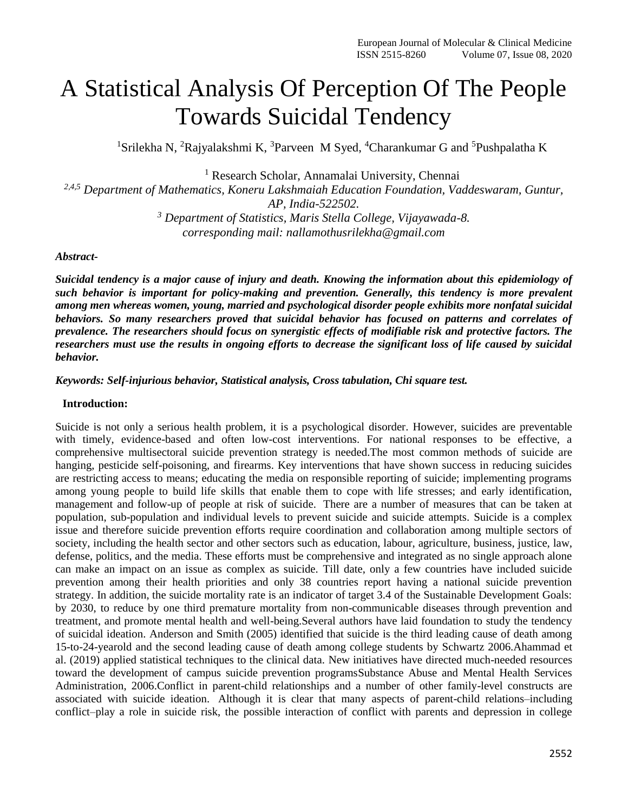# A Statistical Analysis Of Perception Of The People Towards Suicidal Tendency

<sup>1</sup>Srilekha N, <sup>2</sup>Rajyalakshmi K, <sup>3</sup>Parveen M Syed, <sup>4</sup>Charankumar G and <sup>5</sup>Pushpalatha K

<sup>1</sup> Research Scholar, Annamalai University, Chennai

*2,4,5 Department of Mathematics, Koneru Lakshmaiah Education Foundation, Vaddeswaram, Guntur, AP, India-522502.*

*<sup>3</sup> Department of Statistics, Maris Stella College, Vijayawada-8. corresponding mail: nallamothusrilekha@gmail.com*

#### *Abstract-*

*Suicidal tendency is a major cause of injury and death. Knowing the information about this epidemiology of such behavior is important for policy-making and prevention. Generally, this tendency is more prevalent among men whereas women, young, married and psychological disorder people exhibits more nonfatal suicidal behaviors. So many researchers proved that suicidal behavior has focused on patterns and correlates of prevalence. The researchers should focus on synergistic effects of modifiable risk and protective factors. The*  researchers must use the results in ongoing efforts to decrease the significant loss of life caused by suicidal *behavior.*

## *Keywords: Self-injurious behavior, Statistical analysis, Cross tabulation, Chi square test.*

## **Introduction:**

Suicide is not only a serious health problem, it is a psychological disorder. However, suicides are preventable with timely, evidence-based and often low-cost interventions. For national responses to be effective, a comprehensive multisectoral suicide prevention strategy is needed.The most common methods of suicide are hanging, pesticide self-poisoning, and firearms. Key interventions that have shown success in reducing suicides are restricting access to means; educating the media on responsible reporting of suicide; implementing programs among young people to build life skills that enable them to cope with life stresses; and early identification, management and follow-up of people at risk of suicide. There are a number of measures that can be taken at population, sub-population and individual levels to prevent suicide and suicide attempts. Suicide is a complex issue and therefore suicide prevention efforts require coordination and collaboration among multiple sectors of society, including the health sector and other sectors such as education, labour, agriculture, business, justice, law, defense, politics, and the media. These efforts must be comprehensive and integrated as no single approach alone can make an impact on an issue as complex as suicide. Till date, only a few countries have included suicide prevention among their health priorities and only 38 countries report having a national suicide prevention strategy. In addition, the suicide mortality rate is an indicator of target 3.4 of the Sustainable Development Goals: by 2030, to reduce by one third premature mortality from non-communicable diseases through prevention and treatment, and promote mental health and well-being.Several authors have laid foundation to study the tendency of suicidal ideation. Anderson and Smith (2005) identified that suicide is the third leading cause of death among 15-to-24-yearold and the second leading cause of death among college students by Schwartz 2006.Ahammad et al. (2019) applied statistical techniques to the clinical data. New initiatives have directed much-needed resources toward the development of campus suicide prevention program[sSubstance Abuse and Mental Health Services](https://www.ncbi.nlm.nih.gov/pmc/articles/PMC2709750/#R60)  [Administration, 2006.](https://www.ncbi.nlm.nih.gov/pmc/articles/PMC2709750/#R60)Conflict in parent-child relationships and a number of other family-level constructs are associated with suicide ideation. Although it is clear that many aspects of parent-child relations–including conflict–play a role in suicide risk, the possible interaction of conflict with parents and depression in college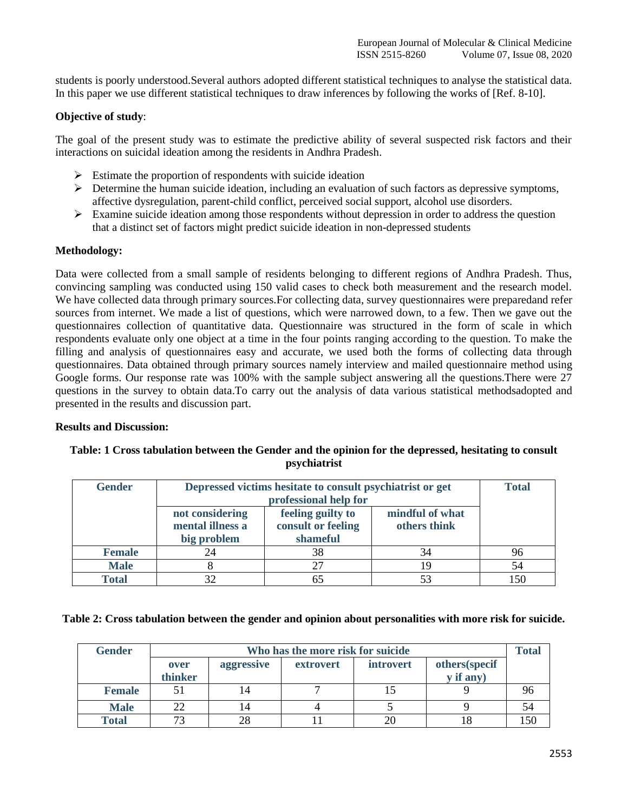students is poorly understood.Several authors adopted different statistical techniques to analyse the statistical data. In this paper we use different statistical techniques to draw inferences by following the works of [Ref. 8-10].

# **Objective of study**:

The goal of the present study was to estimate the predictive ability of several suspected risk factors and their interactions on suicidal ideation among the residents in Andhra Pradesh.

- $\triangleright$  Estimate the proportion of respondents with suicide ideation
- $\triangleright$  Determine the human suicide ideation, including an evaluation of such factors as depressive symptoms, affective dysregulation, parent-child conflict, perceived social support, alcohol use disorders.
- $\triangleright$  Examine suicide ideation among those respondents without depression in order to address the question that a distinct set of factors might predict suicide ideation in non-depressed students

# **Methodology:**

Data were collected from a small sample of residents belonging to different regions of Andhra Pradesh. Thus, convincing sampling was conducted using 150 valid cases to check both measurement and the research model. We have collected data through primary sources. For collecting data, survey questionnaires were preparedand refer sources from internet. We made a list of questions, which were narrowed down, to a few. Then we gave out the questionnaires collection of quantitative data. Questionnaire was structured in the form of scale in which respondents evaluate only one object at a time in the four points ranging according to the question. To make the filling and analysis of questionnaires easy and accurate, we used both the forms of collecting data through questionnaires. Data obtained through primary sources namely interview and mailed questionnaire method using Google forms. Our response rate was 100% with the sample subject answering all the questions.There were 27 questions in the survey to obtain data.To carry out the analysis of data various statistical methodsadopted and presented in the results and discussion part.

# **Results and Discussion:**

# **Table: 1 Cross tabulation between the Gender and the opinion for the depressed, hesitating to consult psychiatrist**

| <b>Gender</b> | Depressed victims hesitate to consult psychiatrist or get | <b>Total</b>                                        |                                 |    |
|---------------|-----------------------------------------------------------|-----------------------------------------------------|---------------------------------|----|
|               | not considering<br>mental illness a<br>big problem        | feeling guilty to<br>consult or feeling<br>shameful | mindful of what<br>others think |    |
| <b>Female</b> | 24                                                        | 38                                                  | 34                              | 96 |
| <b>Male</b>   |                                                           | 27                                                  | 19                              | 54 |
| <b>Total</b>  |                                                           | 65                                                  |                                 |    |

# **Table 2: Cross tabulation between the gender and opinion about personalities with more risk for suicide.**

| <b>Gender</b> | Who has the more risk for suicide |            |           |                  |               |     |
|---------------|-----------------------------------|------------|-----------|------------------|---------------|-----|
|               | over                              | aggressive | extrovert | <i>introvert</i> | others(specif |     |
|               | thinker                           |            |           |                  | y if any)     |     |
| <b>Female</b> |                                   | 14         |           |                  |               | 96  |
| <b>Male</b>   | 22                                | 14         |           |                  |               | 54  |
| <b>Total</b>  | 73                                | 28         |           |                  |               | .50 |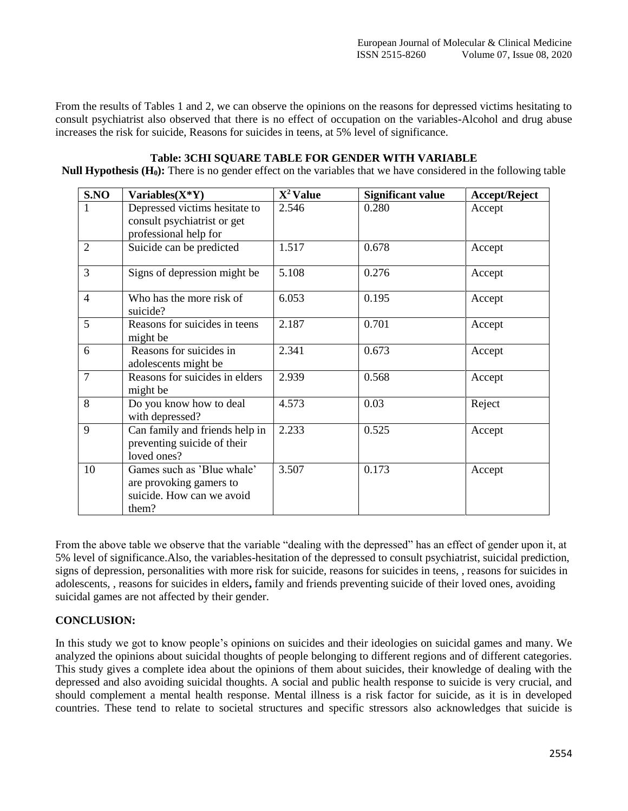From the results of Tables 1 and 2, we can observe the opinions on the reasons for depressed victims hesitating to consult psychiatrist also observed that there is no effect of occupation on the variables-Alcohol and drug abuse increases the risk for suicide, Reasons for suicides in teens, at 5% level of significance.

# **Table: 3CHI SQUARE TABLE FOR GENDER WITH VARIABLE**

**Null Hypothesis (H0):** There is no gender effect on the variables that we have considered in the following table

| S.NO           | Variables $(X^*Y)$                                                                          | $X^2$ Value | <b>Significant value</b> | Accept/Reject |
|----------------|---------------------------------------------------------------------------------------------|-------------|--------------------------|---------------|
| 1              | Depressed victims hesitate to<br>consult psychiatrist or get                                | 2.546       | 0.280                    | Accept        |
|                | professional help for                                                                       |             |                          |               |
| $\overline{2}$ | Suicide can be predicted                                                                    | 1.517       | 0.678                    | Accept        |
| 3              | Signs of depression might be                                                                | 5.108       | 0.276                    | Accept        |
| $\overline{4}$ | Who has the more risk of<br>suicide?                                                        | 6.053       | 0.195                    | Accept        |
| 5              | Reasons for suicides in teens<br>might be                                                   | 2.187       | 0.701                    | Accept        |
| 6              | Reasons for suicides in<br>adolescents might be                                             | 2.341       | 0.673                    | Accept        |
| 7              | Reasons for suicides in elders<br>might be                                                  | 2.939       | 0.568                    | Accept        |
| 8              | Do you know how to deal<br>with depressed?                                                  | 4.573       | 0.03                     | Reject        |
| 9              | Can family and friends help in<br>preventing suicide of their<br>loved ones?                | 2.233       | 0.525                    | Accept        |
| 10             | Games such as 'Blue whale'<br>are provoking gamers to<br>suicide. How can we avoid<br>them? | 3.507       | 0.173                    | Accept        |

From the above table we observe that the variable "dealing with the depressed" has an effect of gender upon it, at 5% level of significance.Also, the variables-hesitation of the depressed to consult psychiatrist, suicidal prediction, signs of depression, personalities with more risk for suicide, reasons for suicides in teens, , reasons for suicides in adolescents, , reasons for suicides in elders**,** family and friends preventing suicide of their loved ones, avoiding suicidal games are not affected by their gender.

# **CONCLUSION:**

In this study we got to know people's opinions on suicides and their ideologies on suicidal games and many. We analyzed the opinions about suicidal thoughts of people belonging to different regions and of different categories. This study gives a complete idea about the opinions of them about suicides, their knowledge of dealing with the depressed and also avoiding suicidal thoughts. A social and public health response to suicide is very crucial, and should complement a mental health response. Mental illness is a risk factor for suicide, as it is in developed countries. These tend to relate to societal structures and specific stressors also acknowledges that suicide is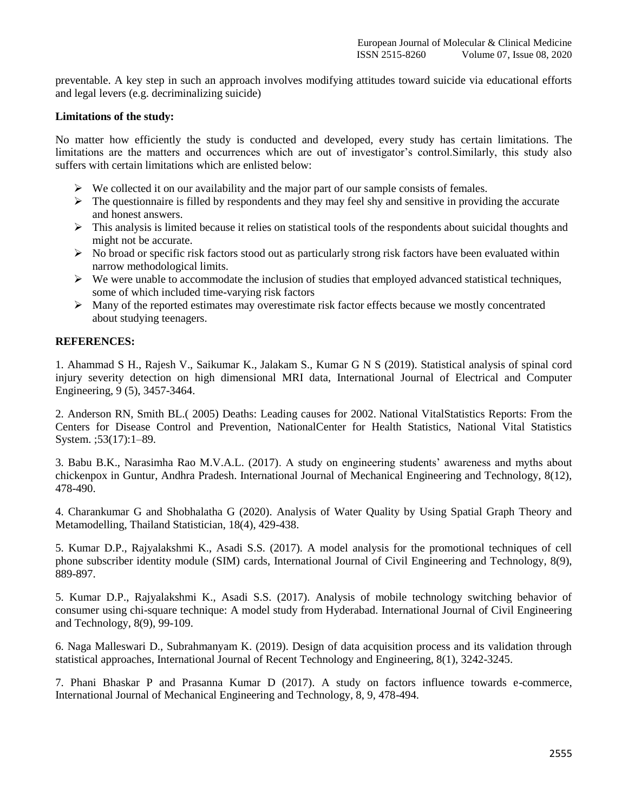preventable. A key step in such an approach involves modifying attitudes toward suicide via educational efforts and legal levers (e.g. decriminalizing suicide)

## **Limitations of the study:**

No matter how efficiently the study is conducted and developed, every study has certain limitations. The limitations are the matters and occurrences which are out of investigator's control.Similarly, this study also suffers with certain limitations which are enlisted below:

- $\triangleright$  We collected it on our availability and the major part of our sample consists of females.
- $\triangleright$  The questionnaire is filled by respondents and they may feel shy and sensitive in providing the accurate and honest answers.
- $\triangleright$  This analysis is limited because it relies on statistical tools of the respondents about suicidal thoughts and might not be accurate.
- $\triangleright$  No broad or specific risk factors stood out as particularly strong risk factors have been evaluated within narrow methodological limits.
- $\triangleright$  We were unable to accommodate the inclusion of studies that employed advanced statistical techniques, some of which included time-varying risk factors
- $\triangleright$  Many of the reported estimates may overestimate risk factor effects because we mostly concentrated about studying teenagers.

## **REFERENCES:**

1. Ahammad S H., Rajesh V., Saikumar K., Jalakam S., Kumar G N S (2019). Statistical analysis of spinal cord injury severity detection on high dimensional MRI data, International Journal of Electrical and Computer Engineering, 9 (5), 3457-3464.

2. Anderson RN, Smith BL.( 2005) Deaths: Leading causes for 2002. National VitalStatistics Reports: From the Centers for Disease Control and Prevention, NationalCenter for Health Statistics, National Vital Statistics System. ;53(17):1–89.

3. Babu B.K., Narasimha Rao M.V.A.L. (2017). A study on engineering students' awareness and myths about chickenpox in Guntur, Andhra Pradesh. International Journal of Mechanical Engineering and Technology, 8(12), 478-490.

4. Charankumar G and Shobhalatha G (2020). Analysis of Water Quality by Using Spatial Graph Theory and Metamodelling, Thailand Statistician, 18(4), 429-438.

5. Kumar D.P., Rajyalakshmi K., Asadi S.S. (2017). A model analysis for the promotional techniques of cell phone subscriber identity module (SIM) cards, International Journal of Civil Engineering and Technology, 8(9), 889-897.

5. Kumar D.P., Rajyalakshmi K., Asadi S.S. (2017). Analysis of mobile technology switching behavior of consumer using chi-square technique: A model study from Hyderabad. International Journal of Civil Engineering and Technology, 8(9), 99-109.

6. Naga Malleswari D., Subrahmanyam K. (2019). Design of data acquisition process and its validation through statistical approaches, International Journal of Recent Technology and Engineering, 8(1), 3242-3245.

7. Phani Bhaskar P and Prasanna Kumar D (2017). A study on factors influence towards e-commerce, International Journal of Mechanical Engineering and Technology, 8, 9, 478-494.